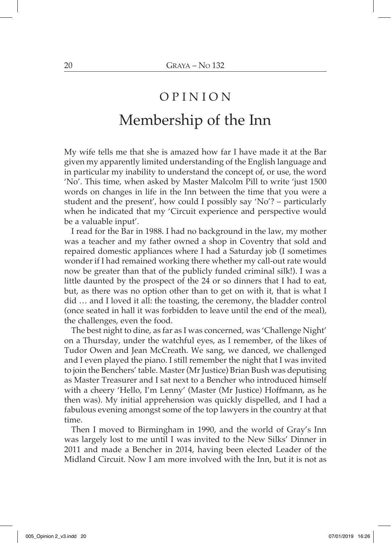## O P I N I O N Membership of the Inn

My wife tells me that she is amazed how far I have made it at the Bar given my apparently limited understanding of the English language and in particular my inability to understand the concept of, or use, the word 'No'. This time, when asked by Master Malcolm Pill to write 'just 1500 words on changes in life in the Inn between the time that you were a student and the present', how could I possibly say 'No'? – particularly when he indicated that my 'Circuit experience and perspective would be a valuable input'.

I read for the Bar in 1988. I had no background in the law, my mother was a teacher and my father owned a shop in Coventry that sold and repaired domestic appliances where I had a Saturday job (I sometimes wonder if I had remained working there whether my call-out rate would now be greater than that of the publicly funded criminal silk!). I was a little daunted by the prospect of the 24 or so dinners that I had to eat, but, as there was no option other than to get on with it, that is what I did … and I loved it all: the toasting, the ceremony, the bladder control (once seated in hall it was forbidden to leave until the end of the meal), the challenges, even the food.

The best night to dine, as far as I was concerned, was 'Challenge Night' on a Thursday, under the watchful eyes, as I remember, of the likes of Tudor Owen and Jean McCreath. We sang, we danced, we challenged and I even played the piano. I still remember the night that I was invited to join the Benchers' table. Master (Mr Justice) Brian Bush was deputising as Master Treasurer and I sat next to a Bencher who introduced himself with a cheery 'Hello, I'm Lenny' (Master (Mr Justice) Hoffmann, as he then was). My initial apprehension was quickly dispelled, and I had a fabulous evening amongst some of the top lawyers in the country at that time.

Then I moved to Birmingham in 1990, and the world of Gray's Inn was largely lost to me until I was invited to the New Silks' Dinner in 2011 and made a Bencher in 2014, having been elected Leader of the Midland Circuit. Now I am more involved with the Inn, but it is not as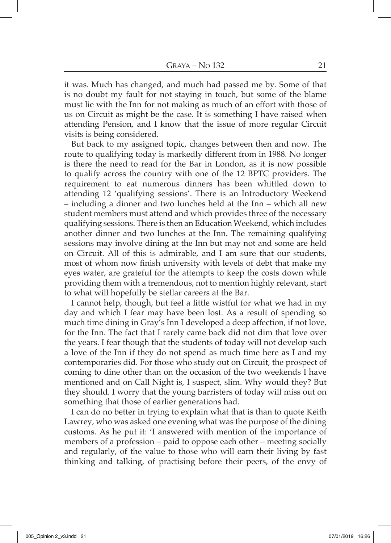it was. Much has changed, and much had passed me by. Some of that is no doubt my fault for not staying in touch, but some of the blame must lie with the Inn for not making as much of an effort with those of us on Circuit as might be the case. It is something I have raised when attending Pension, and I know that the issue of more regular Circuit visits is being considered.

But back to my assigned topic, changes between then and now. The route to qualifying today is markedly different from in 1988. No longer is there the need to read for the Bar in London, as it is now possible to qualify across the country with one of the 12 BPTC providers. The requirement to eat numerous dinners has been whittled down to attending 12 'qualifying sessions'. There is an Introductory Weekend – including a dinner and two lunches held at the Inn – which all new student members must attend and which provides three of the necessary qualifying sessions. There is then an Education Weekend, which includes another dinner and two lunches at the Inn. The remaining qualifying sessions may involve dining at the Inn but may not and some are held on Circuit. All of this is admirable, and I am sure that our students, most of whom now finish university with levels of debt that make my eyes water, are grateful for the attempts to keep the costs down while providing them with a tremendous, not to mention highly relevant, start to what will hopefully be stellar careers at the Bar.

I cannot help, though, but feel a little wistful for what we had in my day and which I fear may have been lost. As a result of spending so much time dining in Gray's Inn I developed a deep affection, if not love, for the Inn. The fact that I rarely came back did not dim that love over the years. I fear though that the students of today will not develop such a love of the Inn if they do not spend as much time here as I and my contemporaries did. For those who study out on Circuit, the prospect of coming to dine other than on the occasion of the two weekends I have mentioned and on Call Night is, I suspect, slim. Why would they? But they should. I worry that the young barristers of today will miss out on something that those of earlier generations had.

I can do no better in trying to explain what that is than to quote Keith Lawrey, who was asked one evening what was the purpose of the dining customs. As he put it: 'I answered with mention of the importance of members of a profession – paid to oppose each other – meeting socially and regularly, of the value to those who will earn their living by fast thinking and talking, of practising before their peers, of the envy of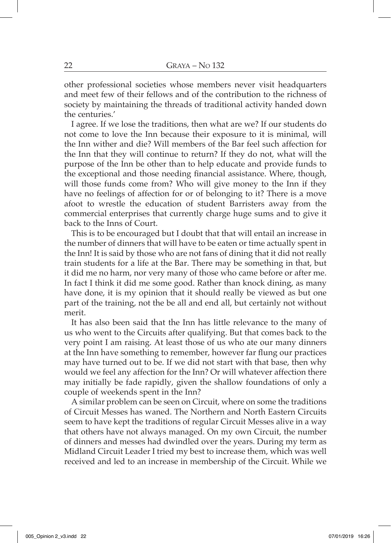other professional societies whose members never visit headquarters and meet few of their fellows and of the contribution to the richness of society by maintaining the threads of traditional activity handed down the centuries.'

I agree. If we lose the traditions, then what are we? If our students do not come to love the Inn because their exposure to it is minimal, will the Inn wither and die? Will members of the Bar feel such affection for the Inn that they will continue to return? If they do not, what will the purpose of the Inn be other than to help educate and provide funds to the exceptional and those needing financial assistance. Where, though, will those funds come from? Who will give money to the Inn if they have no feelings of affection for or of belonging to it? There is a move afoot to wrestle the education of student Barristers away from the commercial enterprises that currently charge huge sums and to give it back to the Inns of Court.

This is to be encouraged but I doubt that that will entail an increase in the number of dinners that will have to be eaten or time actually spent in the Inn! It is said by those who are not fans of dining that it did not really train students for a life at the Bar. There may be something in that, but it did me no harm, nor very many of those who came before or after me. In fact I think it did me some good. Rather than knock dining, as many have done, it is my opinion that it should really be viewed as but one part of the training, not the be all and end all, but certainly not without merit.

It has also been said that the Inn has little relevance to the many of us who went to the Circuits after qualifying. But that comes back to the very point I am raising. At least those of us who ate our many dinners at the Inn have something to remember, however far flung our practices may have turned out to be. If we did not start with that base, then why would we feel any affection for the Inn? Or will whatever affection there may initially be fade rapidly, given the shallow foundations of only a couple of weekends spent in the Inn?

A similar problem can be seen on Circuit, where on some the traditions of Circuit Messes has waned. The Northern and North Eastern Circuits seem to have kept the traditions of regular Circuit Messes alive in a way that others have not always managed. On my own Circuit, the number of dinners and messes had dwindled over the years. During my term as Midland Circuit Leader I tried my best to increase them, which was well received and led to an increase in membership of the Circuit. While we